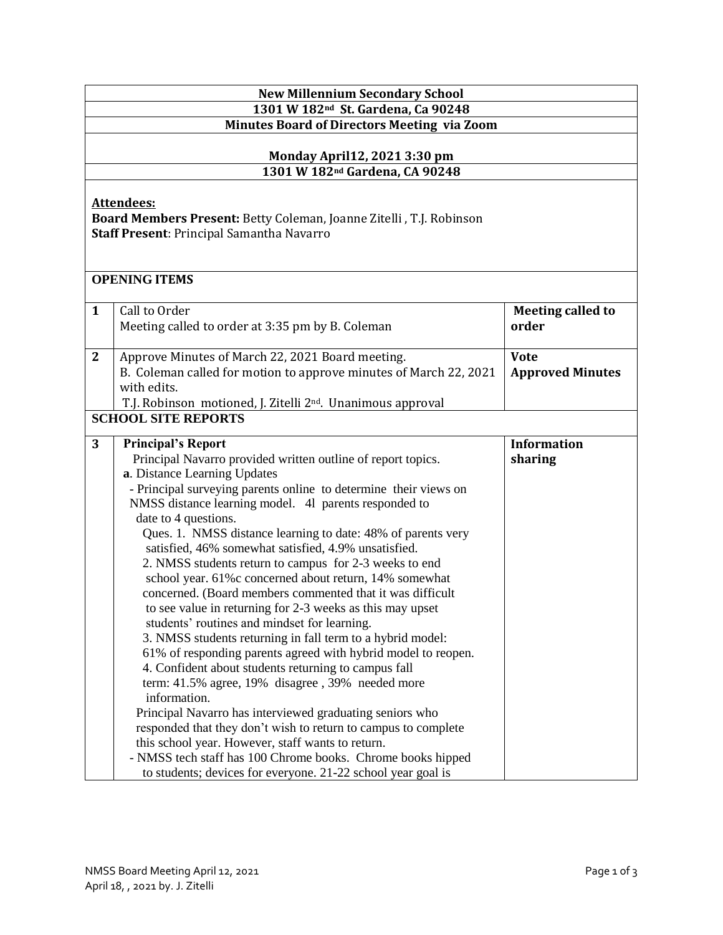| <b>New Millennium Secondary School</b>                                                                                                       |                                                                         |                          |  |  |  |
|----------------------------------------------------------------------------------------------------------------------------------------------|-------------------------------------------------------------------------|--------------------------|--|--|--|
|                                                                                                                                              | 1301 W 182 <sup>nd</sup> St. Gardena, Ca 90248                          |                          |  |  |  |
|                                                                                                                                              | <b>Minutes Board of Directors Meeting via Zoom</b>                      |                          |  |  |  |
|                                                                                                                                              |                                                                         |                          |  |  |  |
|                                                                                                                                              | <b>Monday April 12, 2021 3:30 pm</b>                                    |                          |  |  |  |
|                                                                                                                                              | 1301 W 182 <sup>nd</sup> Gardena, CA 90248                              |                          |  |  |  |
| <b>Attendees:</b><br>Board Members Present: Betty Coleman, Joanne Zitelli, T.J. Robinson<br><b>Staff Present: Principal Samantha Navarro</b> |                                                                         |                          |  |  |  |
|                                                                                                                                              | <b>OPENING ITEMS</b>                                                    |                          |  |  |  |
|                                                                                                                                              |                                                                         |                          |  |  |  |
| $\mathbf{1}$                                                                                                                                 | Call to Order                                                           | <b>Meeting called to</b> |  |  |  |
|                                                                                                                                              | Meeting called to order at 3:35 pm by B. Coleman                        | order                    |  |  |  |
| $\mathbf{2}$                                                                                                                                 | Approve Minutes of March 22, 2021 Board meeting.                        | <b>Vote</b>              |  |  |  |
|                                                                                                                                              | B. Coleman called for motion to approve minutes of March 22, 2021       | <b>Approved Minutes</b>  |  |  |  |
|                                                                                                                                              | with edits.                                                             |                          |  |  |  |
|                                                                                                                                              | T.J. Robinson motioned, J. Zitelli 2 <sup>nd</sup> . Unanimous approval |                          |  |  |  |
|                                                                                                                                              | <b>SCHOOL SITE REPORTS</b>                                              |                          |  |  |  |
|                                                                                                                                              |                                                                         |                          |  |  |  |
| 3                                                                                                                                            | <b>Principal's Report</b>                                               | <b>Information</b>       |  |  |  |
|                                                                                                                                              | Principal Navarro provided written outline of report topics.            | sharing                  |  |  |  |
|                                                                                                                                              | a. Distance Learning Updates                                            |                          |  |  |  |
|                                                                                                                                              | - Principal surveying parents online to determine their views on        |                          |  |  |  |
|                                                                                                                                              | NMSS distance learning model. 41 parents responded to                   |                          |  |  |  |
|                                                                                                                                              | date to 4 questions.                                                    |                          |  |  |  |
|                                                                                                                                              | Ques. 1. NMSS distance learning to date: 48% of parents very            |                          |  |  |  |
|                                                                                                                                              | satisfied, 46% somewhat satisfied, 4.9% unsatisfied.                    |                          |  |  |  |
|                                                                                                                                              | 2. NMSS students return to campus for 2-3 weeks to end                  |                          |  |  |  |
|                                                                                                                                              | school year. 61% c concerned about return, 14% somewhat                 |                          |  |  |  |
|                                                                                                                                              | concerned. (Board members commented that it was difficult               |                          |  |  |  |
|                                                                                                                                              | to see value in returning for 2-3 weeks as this may upset               |                          |  |  |  |
|                                                                                                                                              | students' routines and mindset for learning.                            |                          |  |  |  |
|                                                                                                                                              | 3. NMSS students returning in fall term to a hybrid model:              |                          |  |  |  |
|                                                                                                                                              | 61% of responding parents agreed with hybrid model to reopen.           |                          |  |  |  |
|                                                                                                                                              | 4. Confident about students returning to campus fall                    |                          |  |  |  |
|                                                                                                                                              | term: 41.5% agree, 19% disagree, 39% needed more                        |                          |  |  |  |
|                                                                                                                                              | information.                                                            |                          |  |  |  |
|                                                                                                                                              | Principal Navarro has interviewed graduating seniors who                |                          |  |  |  |
|                                                                                                                                              | responded that they don't wish to return to campus to complete          |                          |  |  |  |
|                                                                                                                                              | this school year. However, staff wants to return.                       |                          |  |  |  |
|                                                                                                                                              | - NMSS tech staff has 100 Chrome books. Chrome books hipped             |                          |  |  |  |
|                                                                                                                                              | to students; devices for everyone. 21-22 school year goal is            |                          |  |  |  |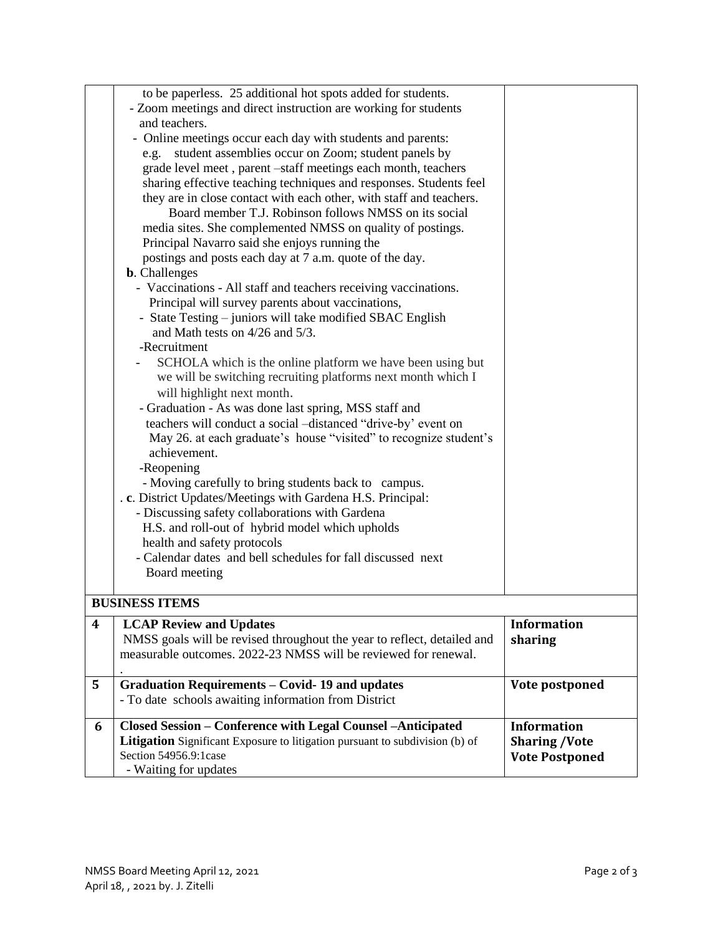|                  | to be paperless. 25 additional hot spots added for students.                        |                                               |
|------------------|-------------------------------------------------------------------------------------|-----------------------------------------------|
|                  | - Zoom meetings and direct instruction are working for students                     |                                               |
|                  | and teachers.                                                                       |                                               |
|                  | - Online meetings occur each day with students and parents:                         |                                               |
|                  | e.g. student assemblies occur on Zoom; student panels by                            |                                               |
|                  | grade level meet, parent -staff meetings each month, teachers                       |                                               |
|                  | sharing effective teaching techniques and responses. Students feel                  |                                               |
|                  | they are in close contact with each other, with staff and teachers.                 |                                               |
|                  | Board member T.J. Robinson follows NMSS on its social                               |                                               |
|                  | media sites. She complemented NMSS on quality of postings.                          |                                               |
|                  | Principal Navarro said she enjoys running the                                       |                                               |
|                  | postings and posts each day at 7 a.m. quote of the day.                             |                                               |
|                  | <b>b.</b> Challenges                                                                |                                               |
|                  | - Vaccinations - All staff and teachers receiving vaccinations.                     |                                               |
|                  | Principal will survey parents about vaccinations,                                   |                                               |
|                  | - State Testing - juniors will take modified SBAC English                           |                                               |
|                  | and Math tests on $4/26$ and $5/3$ .                                                |                                               |
|                  | -Recruitment                                                                        |                                               |
|                  | SCHOLA which is the online platform we have been using but                          |                                               |
|                  | we will be switching recruiting platforms next month which I                        |                                               |
|                  | will highlight next month.                                                          |                                               |
|                  | - Graduation - As was done last spring, MSS staff and                               |                                               |
|                  | teachers will conduct a social -distanced "drive-by' event on                       |                                               |
|                  | May 26. at each graduate's house "visited" to recognize student's                   |                                               |
|                  | achievement.                                                                        |                                               |
|                  | -Reopening                                                                          |                                               |
|                  | - Moving carefully to bring students back to campus.                                |                                               |
|                  | . c. District Updates/Meetings with Gardena H.S. Principal:                         |                                               |
|                  | - Discussing safety collaborations with Gardena                                     |                                               |
|                  | H.S. and roll-out of hybrid model which upholds                                     |                                               |
|                  | health and safety protocols                                                         |                                               |
|                  | - Calendar dates and bell schedules for fall discussed next                         |                                               |
|                  | Board meeting                                                                       |                                               |
|                  |                                                                                     |                                               |
|                  | <b>BUSINESS ITEMS</b>                                                               |                                               |
| $\boldsymbol{4}$ | <b>LCAP Review and Updates</b>                                                      | <b>Information</b>                            |
|                  | NMSS goals will be revised throughout the year to reflect, detailed and             | sharing                                       |
|                  | measurable outcomes. 2022-23 NMSS will be reviewed for renewal.                     |                                               |
|                  |                                                                                     |                                               |
| 5                | <b>Graduation Requirements - Covid-19 and updates</b>                               | Vote postponed                                |
|                  | - To date schools awaiting information from District                                |                                               |
| 6                | Closed Session - Conference with Legal Counsel -Anticipated                         | <b>Information</b>                            |
|                  | <b>Litigation</b> Significant Exposure to litigation pursuant to subdivision (b) of |                                               |
|                  | Section 54956.9:1case                                                               | <b>Sharing /Vote</b><br><b>Vote Postponed</b> |
|                  | - Waiting for updates                                                               |                                               |
|                  |                                                                                     |                                               |